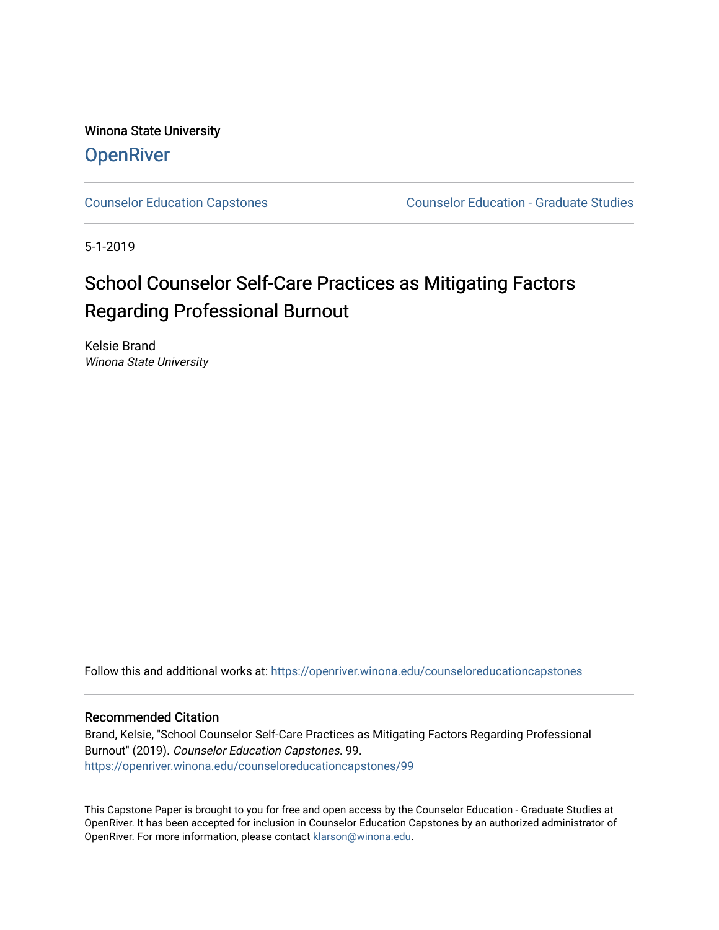Winona State University **OpenRiver** 

[Counselor Education Capstones](https://openriver.winona.edu/counseloreducationcapstones) [Counselor Education - Graduate Studies](https://openriver.winona.edu/counseloreducation) 

5-1-2019

# School Counselor Self-Care Practices as Mitigating Factors Regarding Professional Burnout

Kelsie Brand Winona State University

Follow this and additional works at: [https://openriver.winona.edu/counseloreducationcapstones](https://openriver.winona.edu/counseloreducationcapstones?utm_source=openriver.winona.edu%2Fcounseloreducationcapstones%2F99&utm_medium=PDF&utm_campaign=PDFCoverPages)

## Recommended Citation

Brand, Kelsie, "School Counselor Self-Care Practices as Mitigating Factors Regarding Professional Burnout" (2019). Counselor Education Capstones. 99. [https://openriver.winona.edu/counseloreducationcapstones/99](https://openriver.winona.edu/counseloreducationcapstones/99?utm_source=openriver.winona.edu%2Fcounseloreducationcapstones%2F99&utm_medium=PDF&utm_campaign=PDFCoverPages) 

This Capstone Paper is brought to you for free and open access by the Counselor Education - Graduate Studies at OpenRiver. It has been accepted for inclusion in Counselor Education Capstones by an authorized administrator of OpenRiver. For more information, please contact [klarson@winona.edu](mailto:klarson@winona.edu).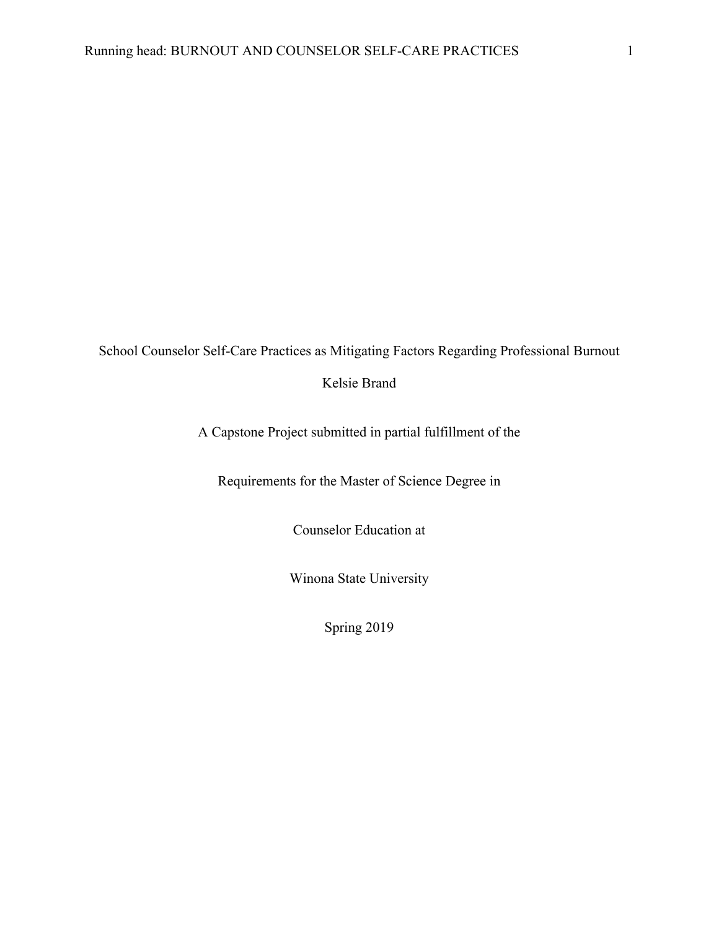# School Counselor Self-Care Practices as Mitigating Factors Regarding Professional Burnout

# Kelsie Brand

A Capstone Project submitted in partial fulfillment of the

Requirements for the Master of Science Degree in

Counselor Education at

Winona State University

Spring 2019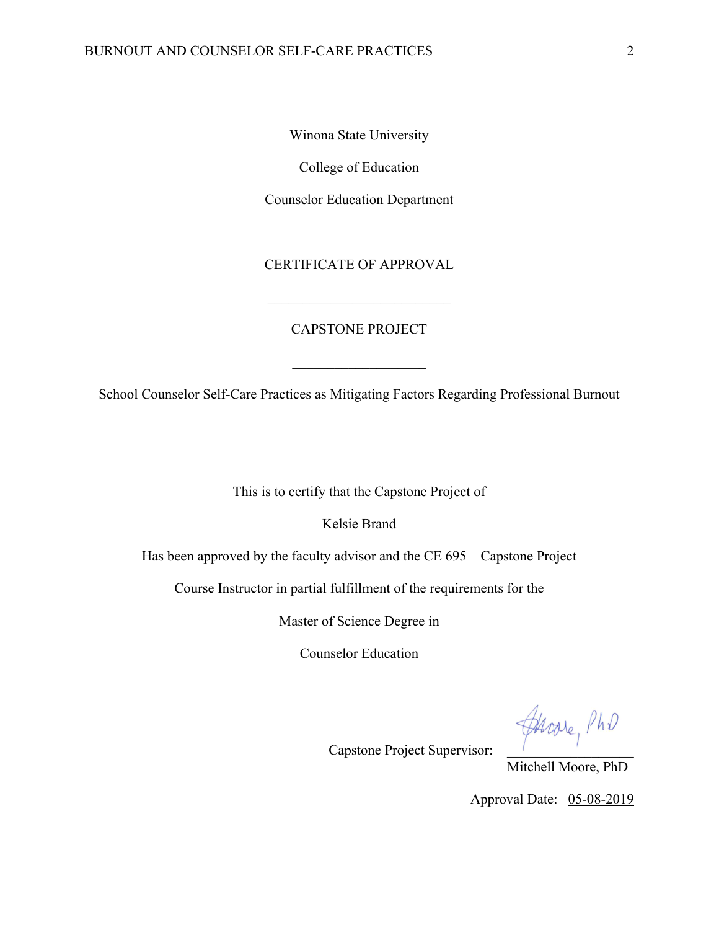Winona State University

College of Education

Counselor Education Department

# CERTIFICATE OF APPROVAL

# CAPSTONE PROJECT

 $\mathcal{L}_\text{max}$  , where  $\mathcal{L}_\text{max}$  and  $\mathcal{L}_\text{max}$ 

School Counselor Self-Care Practices as Mitigating Factors Regarding Professional Burnout

This is to certify that the Capstone Project of

Kelsie Brand

Has been approved by the faculty advisor and the CE 695 – Capstone Project

Course Instructor in partial fulfillment of the requirements for the

Master of Science Degree in

Counselor Education

Capstone Project Supervisor:

Mitchell Moore, PhD

Approval Date: 05-08-2019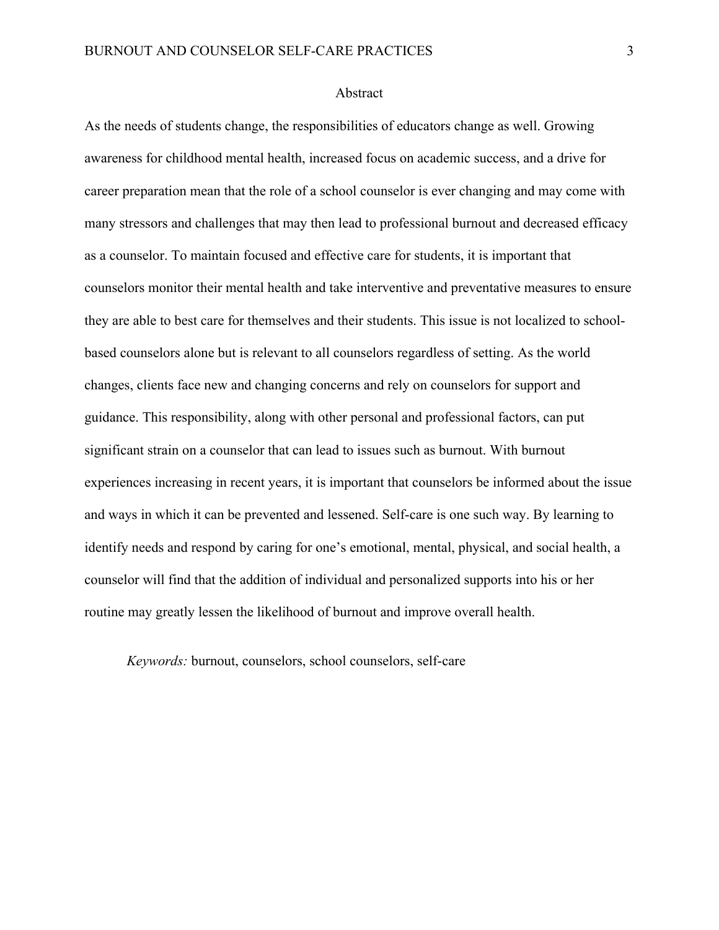## Abstract

As the needs of students change, the responsibilities of educators change as well. Growing awareness for childhood mental health, increased focus on academic success, and a drive for career preparation mean that the role of a school counselor is ever changing and may come with many stressors and challenges that may then lead to professional burnout and decreased efficacy as a counselor. To maintain focused and effective care for students, it is important that counselors monitor their mental health and take interventive and preventative measures to ensure they are able to best care for themselves and their students. This issue is not localized to schoolbased counselors alone but is relevant to all counselors regardless of setting. As the world changes, clients face new and changing concerns and rely on counselors for support and guidance. This responsibility, along with other personal and professional factors, can put significant strain on a counselor that can lead to issues such as burnout. With burnout experiences increasing in recent years, it is important that counselors be informed about the issue and ways in which it can be prevented and lessened. Self-care is one such way. By learning to identify needs and respond by caring for one's emotional, mental, physical, and social health, a counselor will find that the addition of individual and personalized supports into his or her routine may greatly lessen the likelihood of burnout and improve overall health.

*Keywords:* burnout, counselors, school counselors, self-care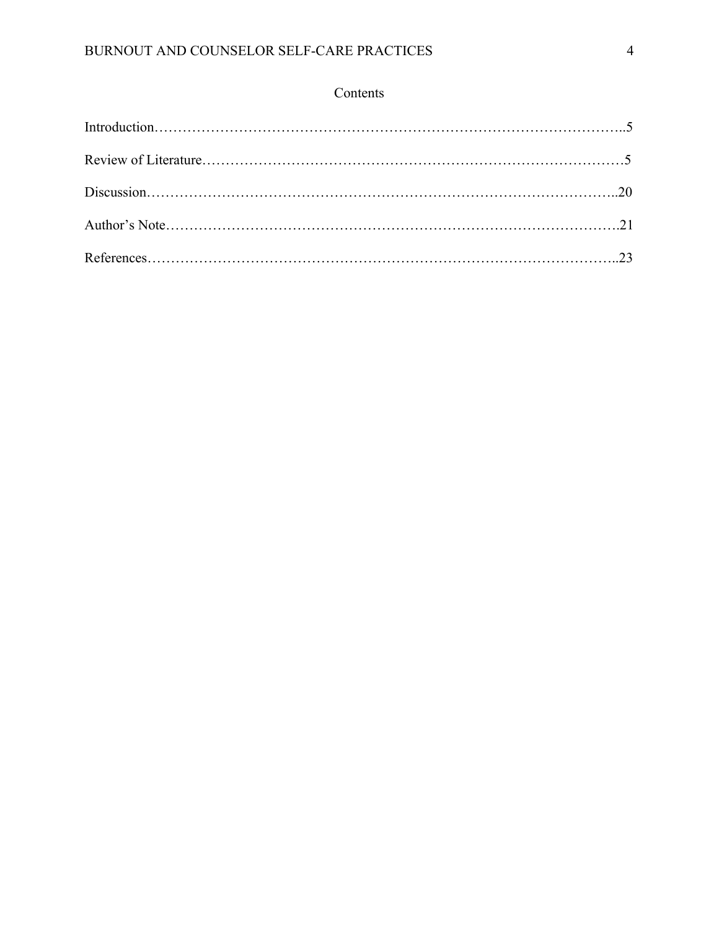# Contents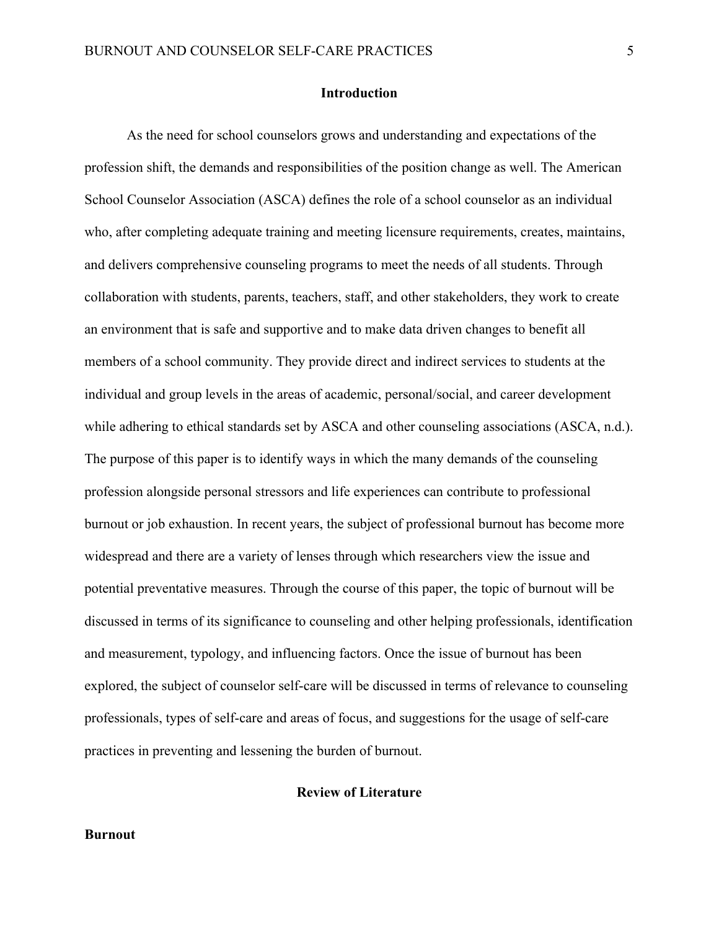## **Introduction**

As the need for school counselors grows and understanding and expectations of the profession shift, the demands and responsibilities of the position change as well. The American School Counselor Association (ASCA) defines the role of a school counselor as an individual who, after completing adequate training and meeting licensure requirements, creates, maintains, and delivers comprehensive counseling programs to meet the needs of all students. Through collaboration with students, parents, teachers, staff, and other stakeholders, they work to create an environment that is safe and supportive and to make data driven changes to benefit all members of a school community. They provide direct and indirect services to students at the individual and group levels in the areas of academic, personal/social, and career development while adhering to ethical standards set by ASCA and other counseling associations (ASCA, n.d.). The purpose of this paper is to identify ways in which the many demands of the counseling profession alongside personal stressors and life experiences can contribute to professional burnout or job exhaustion. In recent years, the subject of professional burnout has become more widespread and there are a variety of lenses through which researchers view the issue and potential preventative measures. Through the course of this paper, the topic of burnout will be discussed in terms of its significance to counseling and other helping professionals, identification and measurement, typology, and influencing factors. Once the issue of burnout has been explored, the subject of counselor self-care will be discussed in terms of relevance to counseling professionals, types of self-care and areas of focus, and suggestions for the usage of self-care practices in preventing and lessening the burden of burnout.

## **Review of Literature**

## **Burnout**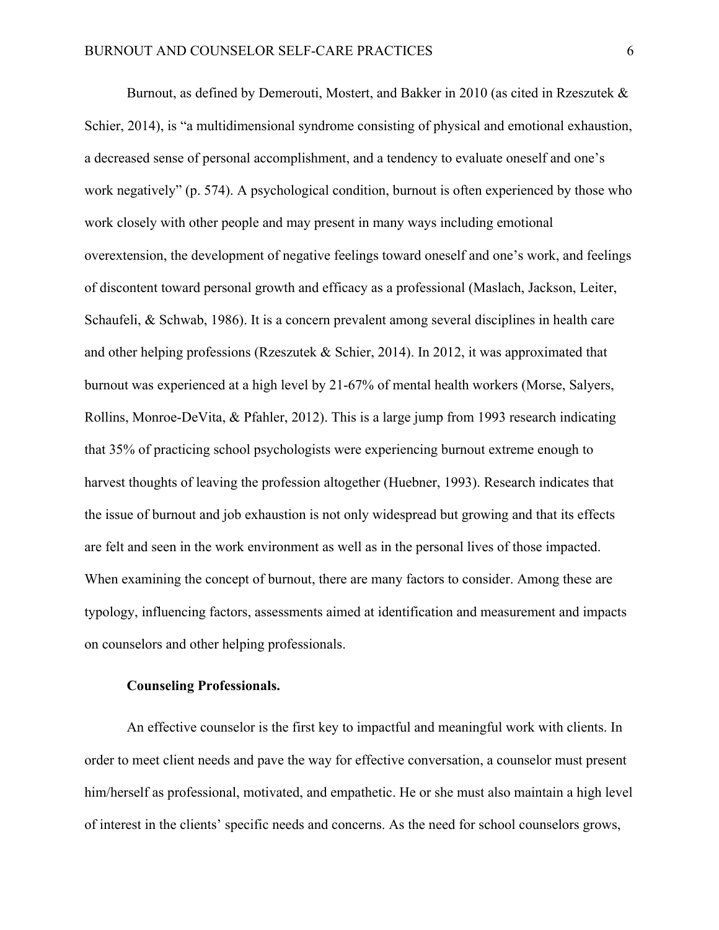Burnout, as defined by Demerouti, Mostert, and Bakker in 2010 (as cited in Rzeszutek  $\&$ Schier, 2014), is "a multidimensional syndrome consisting of physical and emotional exhaustion, a decreased sense of personal accomplishment, and a tendency to evaluate oneself and one's work negatively" (p. 574). A psychological condition, burnout is often experienced by those who work closely with other people and may present in many ways including emotional overextension, the development of negative feelings toward oneself and one's work, and feelings of discontent toward personal growth and efficacy as a professional (Maslach, Jackson, Leiter, Schaufeli, & Schwab, 1986). It is a concern prevalent among several disciplines in health care and other helping professions (Rzeszutek & Schier, 2014). In 2012, it was approximated that burnout was experienced at a high level by 21-67% of mental health workers (Morse, Salyers, Rollins, Monroe-DeVita, & Pfahler, 2012). This is a large jump from 1993 research indicating that 35% of practicing school psychologists were experiencing burnout extreme enough to harvest thoughts of leaving the profession altogether (Huebner, 1993). Research indicates that the issue of burnout and job exhaustion is not only widespread but growing and that its effects are felt and seen in the work environment as well as in the personal lives of those impacted. When examining the concept of burnout, there are many factors to consider. Among these are typology, influencing factors, assessments aimed at identification and measurement and impacts on counselors and other helping professionals.

# **Counseling Professionals.**

An effective counselor is the first key to impactful and meaningful work with clients. In order to meet client needs and pave the way for effective conversation, a counselor must present him/herself as professional, motivated, and empathetic. He or she must also maintain a high level of interest in the clients' specific needs and concerns. As the need for school counselors grows,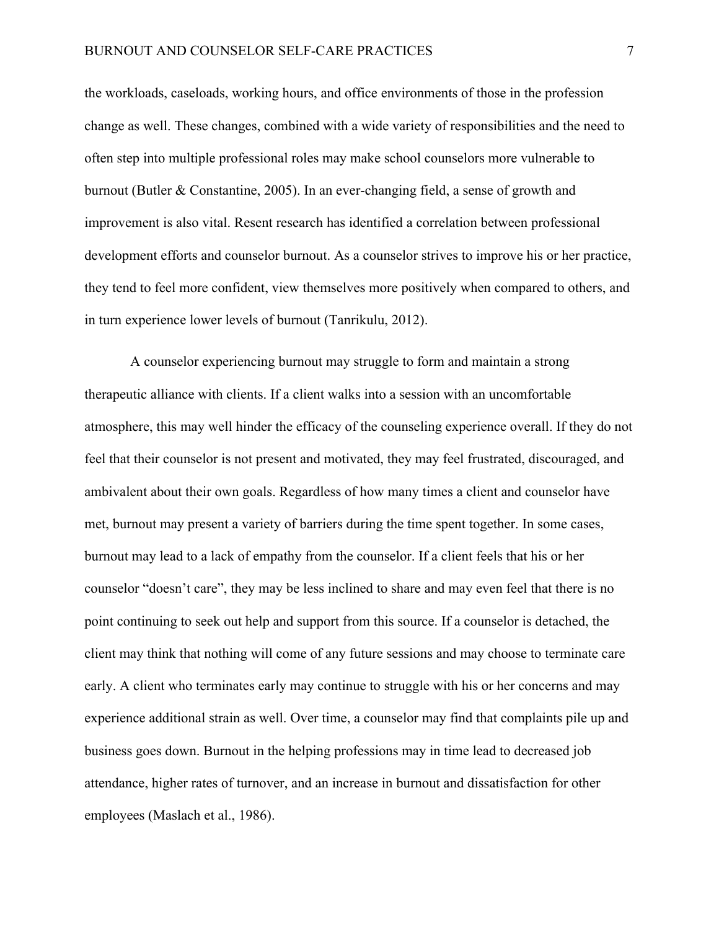the workloads, caseloads, working hours, and office environments of those in the profession change as well. These changes, combined with a wide variety of responsibilities and the need to often step into multiple professional roles may make school counselors more vulnerable to burnout (Butler & Constantine, 2005). In an ever-changing field, a sense of growth and improvement is also vital. Resent research has identified a correlation between professional development efforts and counselor burnout. As a counselor strives to improve his or her practice, they tend to feel more confident, view themselves more positively when compared to others, and in turn experience lower levels of burnout (Tanrikulu, 2012).

A counselor experiencing burnout may struggle to form and maintain a strong therapeutic alliance with clients. If a client walks into a session with an uncomfortable atmosphere, this may well hinder the efficacy of the counseling experience overall. If they do not feel that their counselor is not present and motivated, they may feel frustrated, discouraged, and ambivalent about their own goals. Regardless of how many times a client and counselor have met, burnout may present a variety of barriers during the time spent together. In some cases, burnout may lead to a lack of empathy from the counselor. If a client feels that his or her counselor "doesn't care", they may be less inclined to share and may even feel that there is no point continuing to seek out help and support from this source. If a counselor is detached, the client may think that nothing will come of any future sessions and may choose to terminate care early. A client who terminates early may continue to struggle with his or her concerns and may experience additional strain as well. Over time, a counselor may find that complaints pile up and business goes down. Burnout in the helping professions may in time lead to decreased job attendance, higher rates of turnover, and an increase in burnout and dissatisfaction for other employees (Maslach et al., 1986).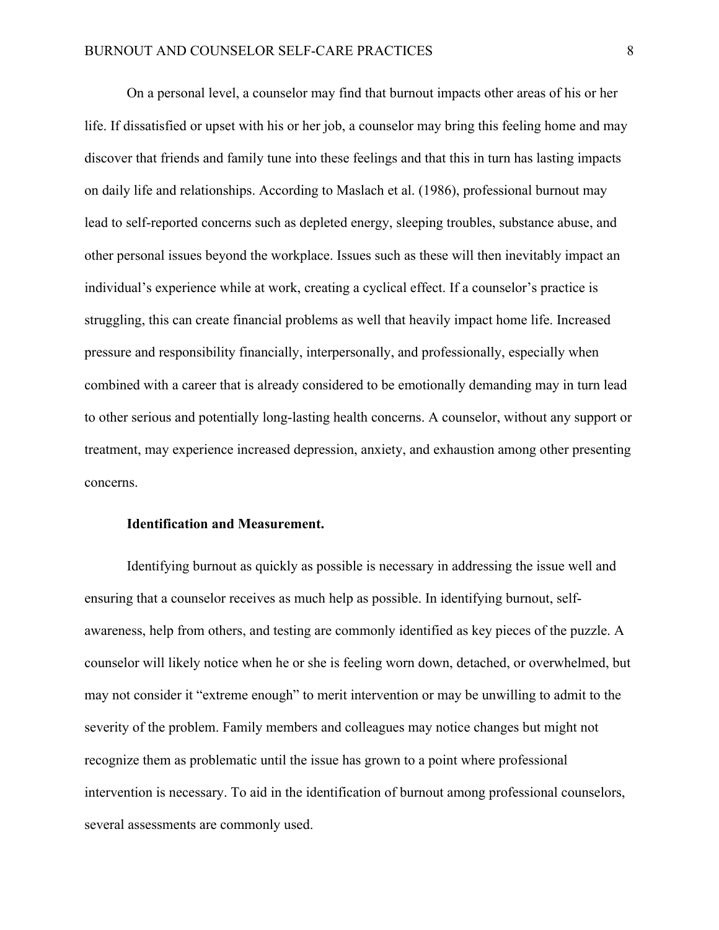On a personal level, a counselor may find that burnout impacts other areas of his or her life. If dissatisfied or upset with his or her job, a counselor may bring this feeling home and may discover that friends and family tune into these feelings and that this in turn has lasting impacts on daily life and relationships. According to Maslach et al. (1986), professional burnout may lead to self-reported concerns such as depleted energy, sleeping troubles, substance abuse, and other personal issues beyond the workplace. Issues such as these will then inevitably impact an individual's experience while at work, creating a cyclical effect. If a counselor's practice is struggling, this can create financial problems as well that heavily impact home life. Increased pressure and responsibility financially, interpersonally, and professionally, especially when combined with a career that is already considered to be emotionally demanding may in turn lead to other serious and potentially long-lasting health concerns. A counselor, without any support or treatment, may experience increased depression, anxiety, and exhaustion among other presenting concerns.

# **Identification and Measurement.**

Identifying burnout as quickly as possible is necessary in addressing the issue well and ensuring that a counselor receives as much help as possible. In identifying burnout, selfawareness, help from others, and testing are commonly identified as key pieces of the puzzle. A counselor will likely notice when he or she is feeling worn down, detached, or overwhelmed, but may not consider it "extreme enough" to merit intervention or may be unwilling to admit to the severity of the problem. Family members and colleagues may notice changes but might not recognize them as problematic until the issue has grown to a point where professional intervention is necessary. To aid in the identification of burnout among professional counselors, several assessments are commonly used.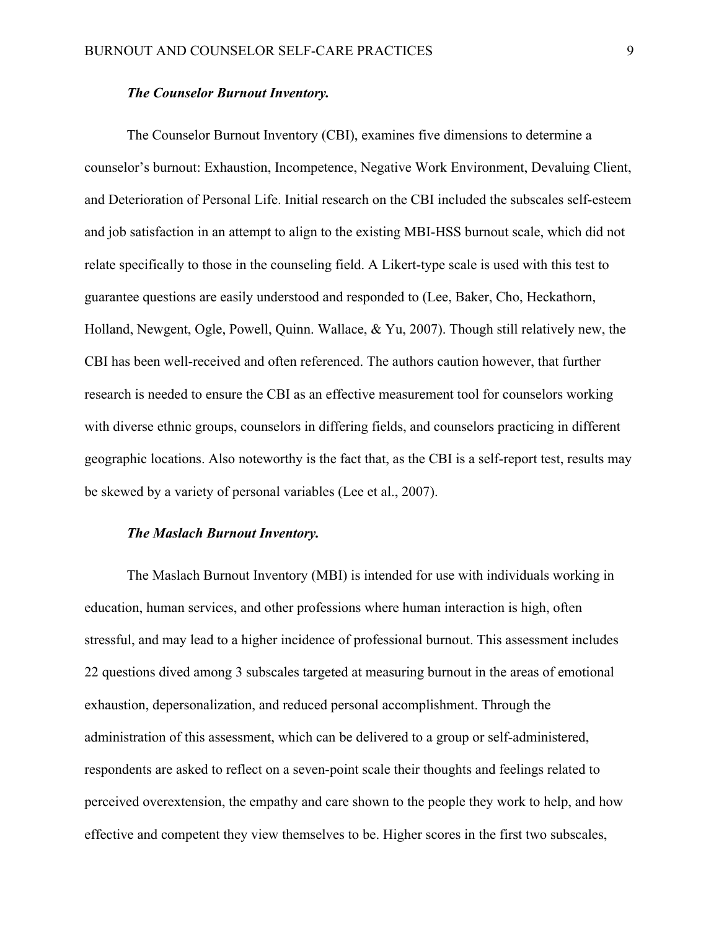## *The Counselor Burnout Inventory.*

The Counselor Burnout Inventory (CBI), examines five dimensions to determine a counselor's burnout: Exhaustion, Incompetence, Negative Work Environment, Devaluing Client, and Deterioration of Personal Life. Initial research on the CBI included the subscales self-esteem and job satisfaction in an attempt to align to the existing MBI-HSS burnout scale, which did not relate specifically to those in the counseling field. A Likert-type scale is used with this test to guarantee questions are easily understood and responded to (Lee, Baker, Cho, Heckathorn, Holland, Newgent, Ogle, Powell, Quinn. Wallace, & Yu, 2007). Though still relatively new, the CBI has been well-received and often referenced. The authors caution however, that further research is needed to ensure the CBI as an effective measurement tool for counselors working with diverse ethnic groups, counselors in differing fields, and counselors practicing in different geographic locations. Also noteworthy is the fact that, as the CBI is a self-report test, results may be skewed by a variety of personal variables (Lee et al., 2007).

## *The Maslach Burnout Inventory.*

The Maslach Burnout Inventory (MBI) is intended for use with individuals working in education, human services, and other professions where human interaction is high, often stressful, and may lead to a higher incidence of professional burnout. This assessment includes 22 questions dived among 3 subscales targeted at measuring burnout in the areas of emotional exhaustion, depersonalization, and reduced personal accomplishment. Through the administration of this assessment, which can be delivered to a group or self-administered, respondents are asked to reflect on a seven-point scale their thoughts and feelings related to perceived overextension, the empathy and care shown to the people they work to help, and how effective and competent they view themselves to be. Higher scores in the first two subscales,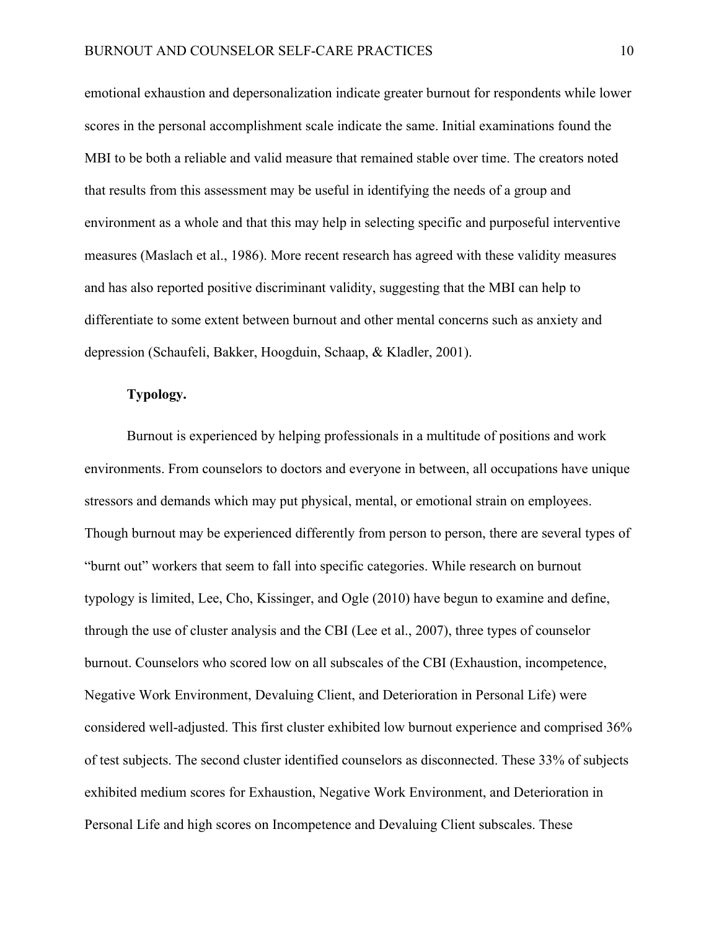emotional exhaustion and depersonalization indicate greater burnout for respondents while lower scores in the personal accomplishment scale indicate the same. Initial examinations found the MBI to be both a reliable and valid measure that remained stable over time. The creators noted that results from this assessment may be useful in identifying the needs of a group and environment as a whole and that this may help in selecting specific and purposeful interventive measures (Maslach et al., 1986). More recent research has agreed with these validity measures and has also reported positive discriminant validity, suggesting that the MBI can help to differentiate to some extent between burnout and other mental concerns such as anxiety and depression (Schaufeli, Bakker, Hoogduin, Schaap, & Kladler, 2001).

# **Typology.**

Burnout is experienced by helping professionals in a multitude of positions and work environments. From counselors to doctors and everyone in between, all occupations have unique stressors and demands which may put physical, mental, or emotional strain on employees. Though burnout may be experienced differently from person to person, there are several types of "burnt out" workers that seem to fall into specific categories. While research on burnout typology is limited, Lee, Cho, Kissinger, and Ogle (2010) have begun to examine and define, through the use of cluster analysis and the CBI (Lee et al., 2007), three types of counselor burnout. Counselors who scored low on all subscales of the CBI (Exhaustion, incompetence, Negative Work Environment, Devaluing Client, and Deterioration in Personal Life) were considered well-adjusted. This first cluster exhibited low burnout experience and comprised 36% of test subjects. The second cluster identified counselors as disconnected. These 33% of subjects exhibited medium scores for Exhaustion, Negative Work Environment, and Deterioration in Personal Life and high scores on Incompetence and Devaluing Client subscales. These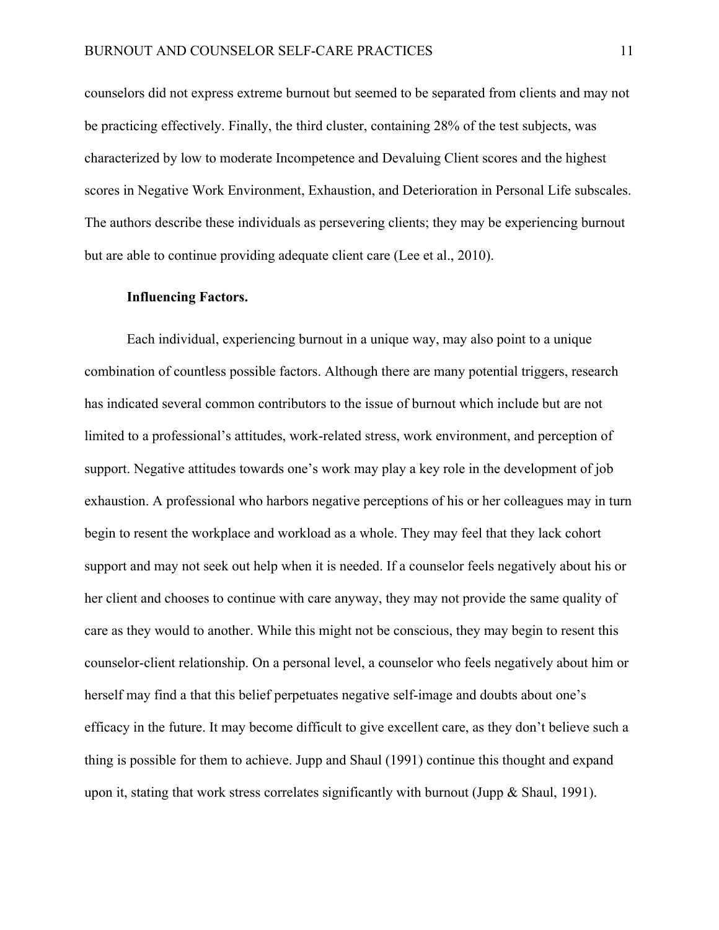counselors did not express extreme burnout but seemed to be separated from clients and may not be practicing effectively. Finally, the third cluster, containing 28% of the test subjects, was characterized by low to moderate Incompetence and Devaluing Client scores and the highest scores in Negative Work Environment, Exhaustion, and Deterioration in Personal Life subscales. The authors describe these individuals as persevering clients; they may be experiencing burnout but are able to continue providing adequate client care (Lee et al., 2010).

## **Influencing Factors.**

Each individual, experiencing burnout in a unique way, may also point to a unique combination of countless possible factors. Although there are many potential triggers, research has indicated several common contributors to the issue of burnout which include but are not limited to a professional's attitudes, work-related stress, work environment, and perception of support. Negative attitudes towards one's work may play a key role in the development of job exhaustion. A professional who harbors negative perceptions of his or her colleagues may in turn begin to resent the workplace and workload as a whole. They may feel that they lack cohort support and may not seek out help when it is needed. If a counselor feels negatively about his or her client and chooses to continue with care anyway, they may not provide the same quality of care as they would to another. While this might not be conscious, they may begin to resent this counselor-client relationship. On a personal level, a counselor who feels negatively about him or herself may find a that this belief perpetuates negative self-image and doubts about one's efficacy in the future. It may become difficult to give excellent care, as they don't believe such a thing is possible for them to achieve. Jupp and Shaul (1991) continue this thought and expand upon it, stating that work stress correlates significantly with burnout (Jupp & Shaul, 1991).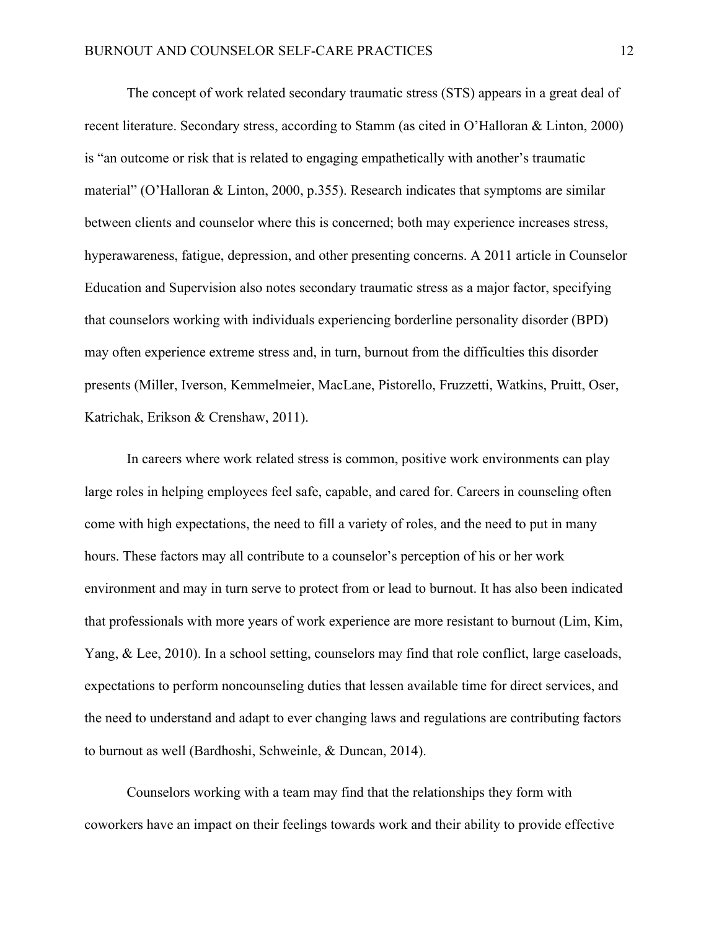The concept of work related secondary traumatic stress (STS) appears in a great deal of recent literature. Secondary stress, according to Stamm (as cited in O'Halloran & Linton, 2000) is "an outcome or risk that is related to engaging empathetically with another's traumatic material" (O'Halloran & Linton, 2000, p.355). Research indicates that symptoms are similar between clients and counselor where this is concerned; both may experience increases stress, hyperawareness, fatigue, depression, and other presenting concerns. A 2011 article in Counselor Education and Supervision also notes secondary traumatic stress as a major factor, specifying that counselors working with individuals experiencing borderline personality disorder (BPD) may often experience extreme stress and, in turn, burnout from the difficulties this disorder presents (Miller, Iverson, Kemmelmeier, MacLane, Pistorello, Fruzzetti, Watkins, Pruitt, Oser, Katrichak, Erikson & Crenshaw, 2011).

In careers where work related stress is common, positive work environments can play large roles in helping employees feel safe, capable, and cared for. Careers in counseling often come with high expectations, the need to fill a variety of roles, and the need to put in many hours. These factors may all contribute to a counselor's perception of his or her work environment and may in turn serve to protect from or lead to burnout. It has also been indicated that professionals with more years of work experience are more resistant to burnout (Lim, Kim, Yang, & Lee, 2010). In a school setting, counselors may find that role conflict, large caseloads, expectations to perform noncounseling duties that lessen available time for direct services, and the need to understand and adapt to ever changing laws and regulations are contributing factors to burnout as well (Bardhoshi, Schweinle, & Duncan, 2014).

Counselors working with a team may find that the relationships they form with coworkers have an impact on their feelings towards work and their ability to provide effective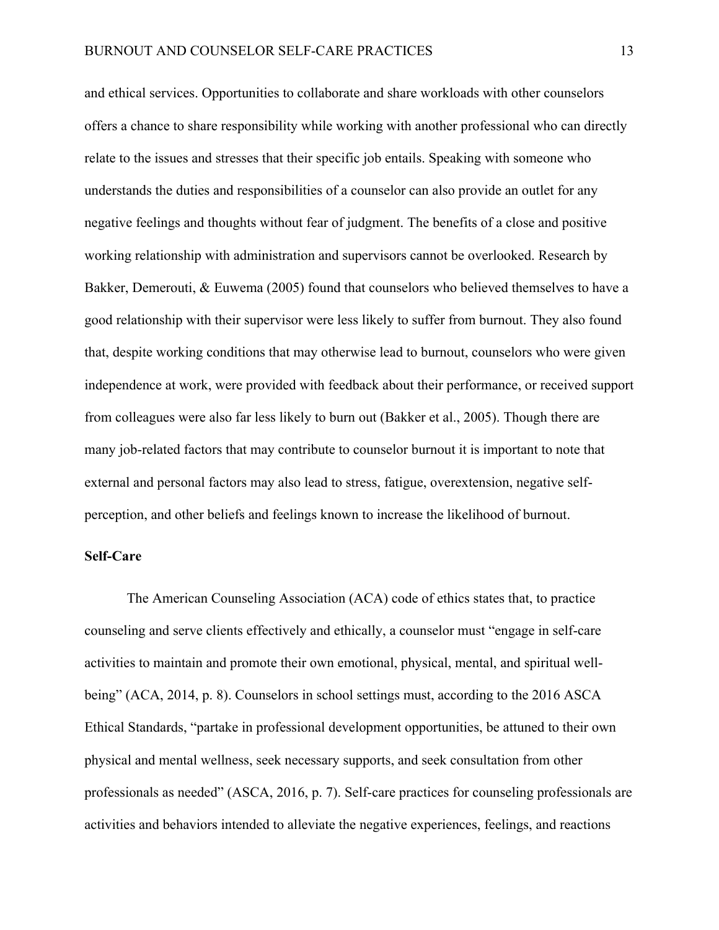and ethical services. Opportunities to collaborate and share workloads with other counselors offers a chance to share responsibility while working with another professional who can directly relate to the issues and stresses that their specific job entails. Speaking with someone who understands the duties and responsibilities of a counselor can also provide an outlet for any negative feelings and thoughts without fear of judgment. The benefits of a close and positive working relationship with administration and supervisors cannot be overlooked. Research by Bakker, Demerouti, & Euwema (2005) found that counselors who believed themselves to have a good relationship with their supervisor were less likely to suffer from burnout. They also found that, despite working conditions that may otherwise lead to burnout, counselors who were given independence at work, were provided with feedback about their performance, or received support from colleagues were also far less likely to burn out (Bakker et al., 2005). Though there are many job-related factors that may contribute to counselor burnout it is important to note that external and personal factors may also lead to stress, fatigue, overextension, negative selfperception, and other beliefs and feelings known to increase the likelihood of burnout.

# **Self-Care**

The American Counseling Association (ACA) code of ethics states that, to practice counseling and serve clients effectively and ethically, a counselor must "engage in self-care activities to maintain and promote their own emotional, physical, mental, and spiritual wellbeing" (ACA, 2014, p. 8). Counselors in school settings must, according to the 2016 ASCA Ethical Standards, "partake in professional development opportunities, be attuned to their own physical and mental wellness, seek necessary supports, and seek consultation from other professionals as needed" (ASCA, 2016, p. 7). Self-care practices for counseling professionals are activities and behaviors intended to alleviate the negative experiences, feelings, and reactions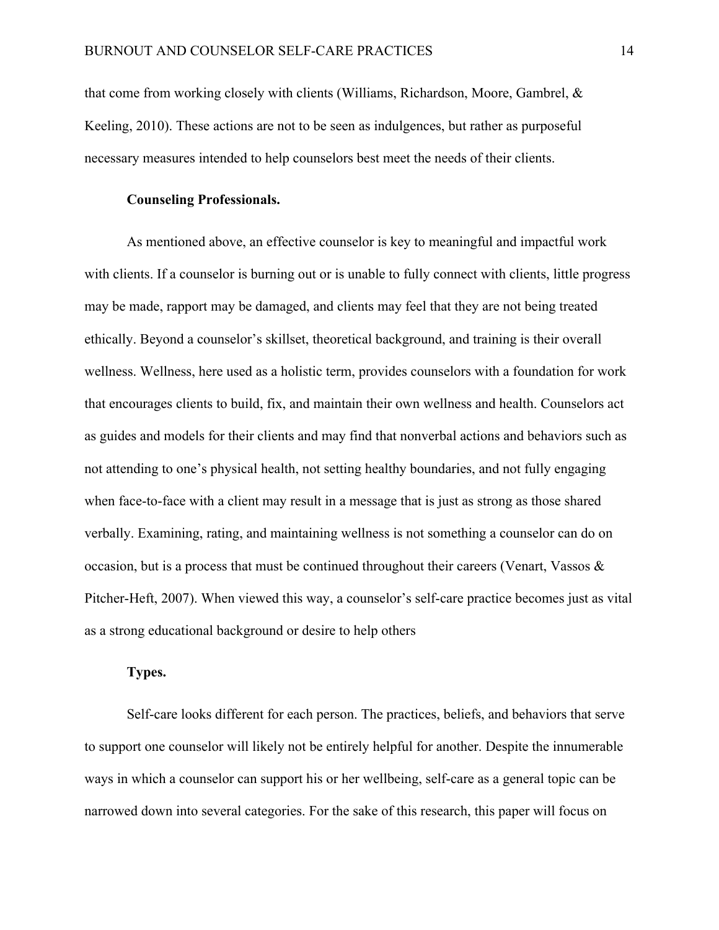that come from working closely with clients (Williams, Richardson, Moore, Gambrel, & Keeling, 2010). These actions are not to be seen as indulgences, but rather as purposeful necessary measures intended to help counselors best meet the needs of their clients.

## **Counseling Professionals.**

As mentioned above, an effective counselor is key to meaningful and impactful work with clients. If a counselor is burning out or is unable to fully connect with clients, little progress may be made, rapport may be damaged, and clients may feel that they are not being treated ethically. Beyond a counselor's skillset, theoretical background, and training is their overall wellness. Wellness, here used as a holistic term, provides counselors with a foundation for work that encourages clients to build, fix, and maintain their own wellness and health. Counselors act as guides and models for their clients and may find that nonverbal actions and behaviors such as not attending to one's physical health, not setting healthy boundaries, and not fully engaging when face-to-face with a client may result in a message that is just as strong as those shared verbally. Examining, rating, and maintaining wellness is not something a counselor can do on occasion, but is a process that must be continued throughout their careers (Venart, Vassos  $\&$ Pitcher-Heft, 2007). When viewed this way, a counselor's self-care practice becomes just as vital as a strong educational background or desire to help others

# **Types.**

Self-care looks different for each person. The practices, beliefs, and behaviors that serve to support one counselor will likely not be entirely helpful for another. Despite the innumerable ways in which a counselor can support his or her wellbeing, self-care as a general topic can be narrowed down into several categories. For the sake of this research, this paper will focus on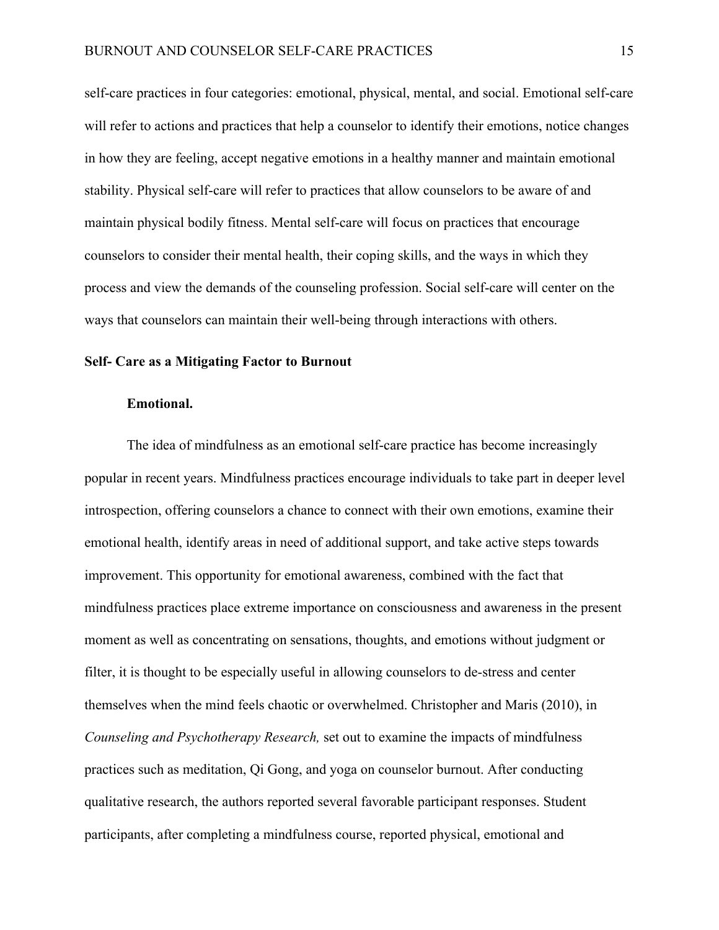self-care practices in four categories: emotional, physical, mental, and social. Emotional self-care will refer to actions and practices that help a counselor to identify their emotions, notice changes in how they are feeling, accept negative emotions in a healthy manner and maintain emotional stability. Physical self-care will refer to practices that allow counselors to be aware of and maintain physical bodily fitness. Mental self-care will focus on practices that encourage counselors to consider their mental health, their coping skills, and the ways in which they process and view the demands of the counseling profession. Social self-care will center on the ways that counselors can maintain their well-being through interactions with others.

## **Self- Care as a Mitigating Factor to Burnout**

## **Emotional.**

The idea of mindfulness as an emotional self-care practice has become increasingly popular in recent years. Mindfulness practices encourage individuals to take part in deeper level introspection, offering counselors a chance to connect with their own emotions, examine their emotional health, identify areas in need of additional support, and take active steps towards improvement. This opportunity for emotional awareness, combined with the fact that mindfulness practices place extreme importance on consciousness and awareness in the present moment as well as concentrating on sensations, thoughts, and emotions without judgment or filter, it is thought to be especially useful in allowing counselors to de-stress and center themselves when the mind feels chaotic or overwhelmed. Christopher and Maris (2010), in *Counseling and Psychotherapy Research,* set out to examine the impacts of mindfulness practices such as meditation, Qi Gong, and yoga on counselor burnout. After conducting qualitative research, the authors reported several favorable participant responses. Student participants, after completing a mindfulness course, reported physical, emotional and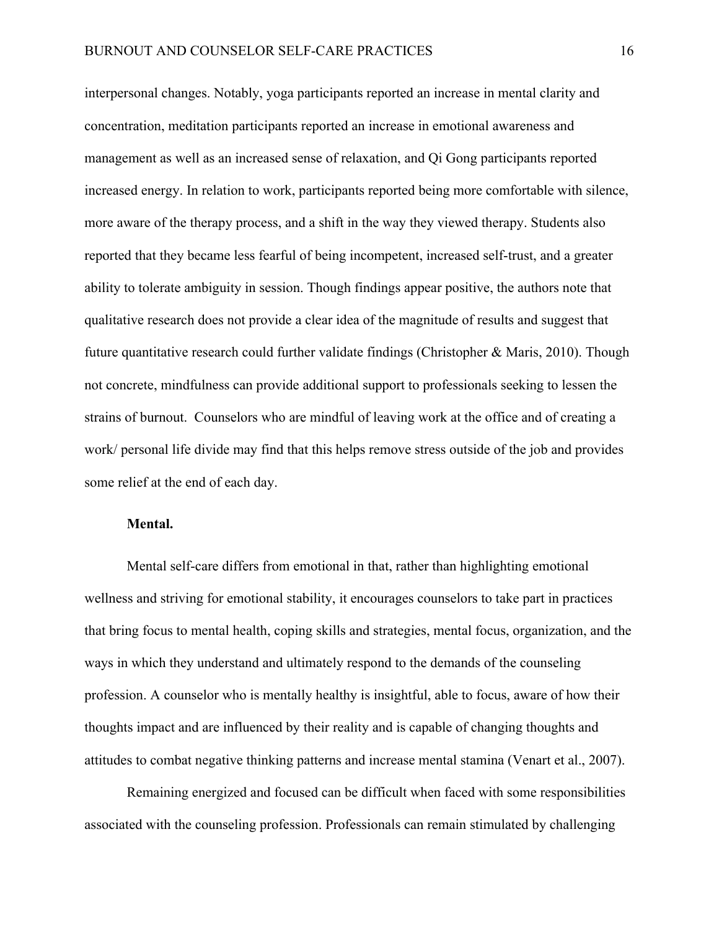interpersonal changes. Notably, yoga participants reported an increase in mental clarity and concentration, meditation participants reported an increase in emotional awareness and management as well as an increased sense of relaxation, and Qi Gong participants reported increased energy. In relation to work, participants reported being more comfortable with silence, more aware of the therapy process, and a shift in the way they viewed therapy. Students also reported that they became less fearful of being incompetent, increased self-trust, and a greater ability to tolerate ambiguity in session. Though findings appear positive, the authors note that qualitative research does not provide a clear idea of the magnitude of results and suggest that future quantitative research could further validate findings (Christopher & Maris, 2010). Though not concrete, mindfulness can provide additional support to professionals seeking to lessen the strains of burnout. Counselors who are mindful of leaving work at the office and of creating a work/ personal life divide may find that this helps remove stress outside of the job and provides some relief at the end of each day.

# **Mental.**

Mental self-care differs from emotional in that, rather than highlighting emotional wellness and striving for emotional stability, it encourages counselors to take part in practices that bring focus to mental health, coping skills and strategies, mental focus, organization, and the ways in which they understand and ultimately respond to the demands of the counseling profession. A counselor who is mentally healthy is insightful, able to focus, aware of how their thoughts impact and are influenced by their reality and is capable of changing thoughts and attitudes to combat negative thinking patterns and increase mental stamina (Venart et al., 2007).

Remaining energized and focused can be difficult when faced with some responsibilities associated with the counseling profession. Professionals can remain stimulated by challenging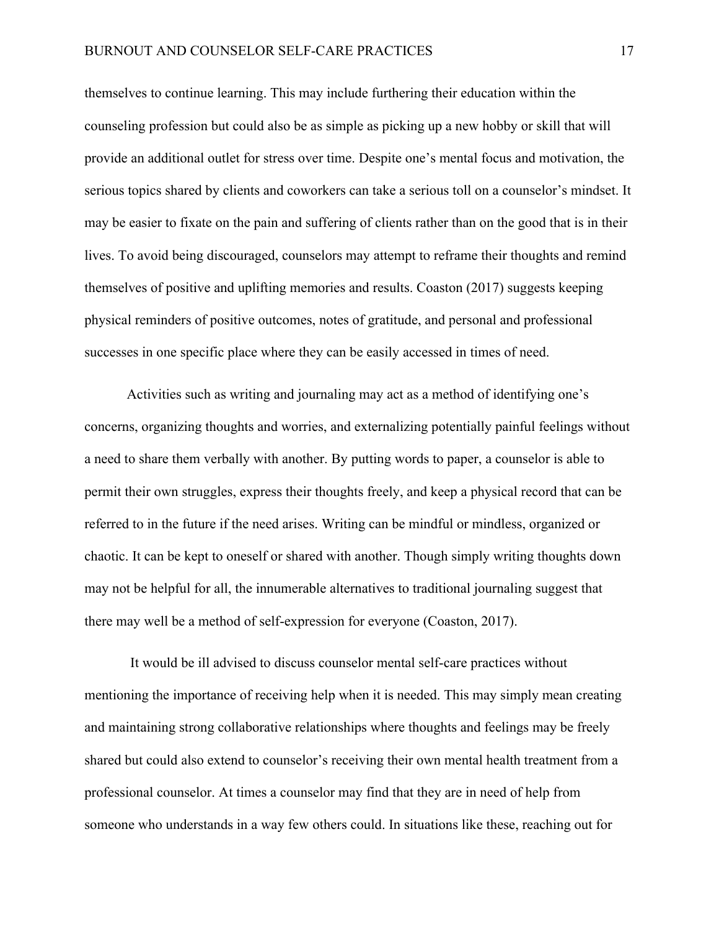themselves to continue learning. This may include furthering their education within the counseling profession but could also be as simple as picking up a new hobby or skill that will provide an additional outlet for stress over time. Despite one's mental focus and motivation, the serious topics shared by clients and coworkers can take a serious toll on a counselor's mindset. It may be easier to fixate on the pain and suffering of clients rather than on the good that is in their lives. To avoid being discouraged, counselors may attempt to reframe their thoughts and remind themselves of positive and uplifting memories and results. Coaston (2017) suggests keeping physical reminders of positive outcomes, notes of gratitude, and personal and professional successes in one specific place where they can be easily accessed in times of need.

Activities such as writing and journaling may act as a method of identifying one's concerns, organizing thoughts and worries, and externalizing potentially painful feelings without a need to share them verbally with another. By putting words to paper, a counselor is able to permit their own struggles, express their thoughts freely, and keep a physical record that can be referred to in the future if the need arises. Writing can be mindful or mindless, organized or chaotic. It can be kept to oneself or shared with another. Though simply writing thoughts down may not be helpful for all, the innumerable alternatives to traditional journaling suggest that there may well be a method of self-expression for everyone (Coaston, 2017).

It would be ill advised to discuss counselor mental self-care practices without mentioning the importance of receiving help when it is needed. This may simply mean creating and maintaining strong collaborative relationships where thoughts and feelings may be freely shared but could also extend to counselor's receiving their own mental health treatment from a professional counselor. At times a counselor may find that they are in need of help from someone who understands in a way few others could. In situations like these, reaching out for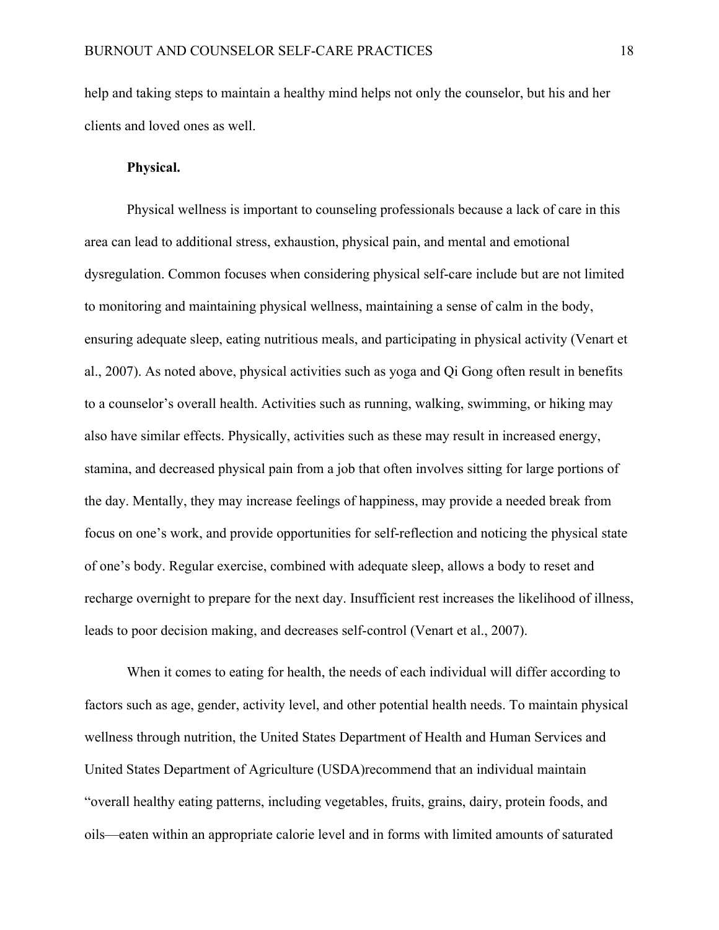help and taking steps to maintain a healthy mind helps not only the counselor, but his and her clients and loved ones as well.

# **Physical.**

Physical wellness is important to counseling professionals because a lack of care in this area can lead to additional stress, exhaustion, physical pain, and mental and emotional dysregulation. Common focuses when considering physical self-care include but are not limited to monitoring and maintaining physical wellness, maintaining a sense of calm in the body, ensuring adequate sleep, eating nutritious meals, and participating in physical activity (Venart et al., 2007). As noted above, physical activities such as yoga and Qi Gong often result in benefits to a counselor's overall health. Activities such as running, walking, swimming, or hiking may also have similar effects. Physically, activities such as these may result in increased energy, stamina, and decreased physical pain from a job that often involves sitting for large portions of the day. Mentally, they may increase feelings of happiness, may provide a needed break from focus on one's work, and provide opportunities for self-reflection and noticing the physical state of one's body. Regular exercise, combined with adequate sleep, allows a body to reset and recharge overnight to prepare for the next day. Insufficient rest increases the likelihood of illness, leads to poor decision making, and decreases self-control (Venart et al., 2007).

When it comes to eating for health, the needs of each individual will differ according to factors such as age, gender, activity level, and other potential health needs. To maintain physical wellness through nutrition, the United States Department of Health and Human Services and United States Department of Agriculture (USDA)recommend that an individual maintain "overall healthy eating patterns, including vegetables, fruits, grains, dairy, protein foods, and oils—eaten within an appropriate calorie level and in forms with limited amounts of saturated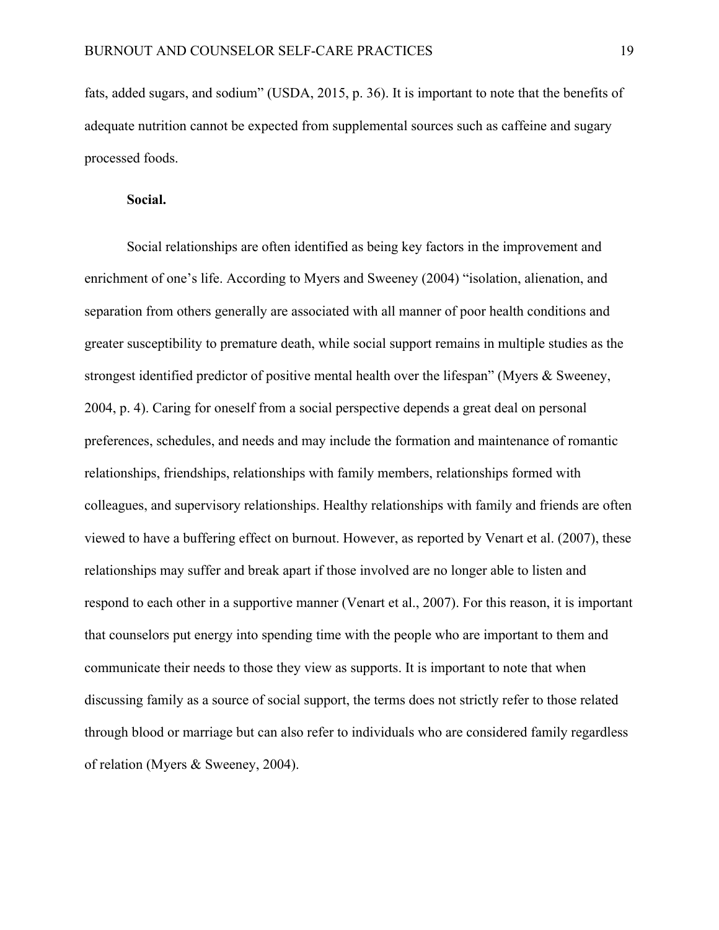fats, added sugars, and sodium" (USDA, 2015, p. 36). It is important to note that the benefits of adequate nutrition cannot be expected from supplemental sources such as caffeine and sugary processed foods.

#### **Social.**

Social relationships are often identified as being key factors in the improvement and enrichment of one's life. According to Myers and Sweeney (2004) "isolation, alienation, and separation from others generally are associated with all manner of poor health conditions and greater susceptibility to premature death, while social support remains in multiple studies as the strongest identified predictor of positive mental health over the lifespan" (Myers & Sweeney, 2004, p. 4). Caring for oneself from a social perspective depends a great deal on personal preferences, schedules, and needs and may include the formation and maintenance of romantic relationships, friendships, relationships with family members, relationships formed with colleagues, and supervisory relationships. Healthy relationships with family and friends are often viewed to have a buffering effect on burnout. However, as reported by Venart et al. (2007), these relationships may suffer and break apart if those involved are no longer able to listen and respond to each other in a supportive manner (Venart et al., 2007). For this reason, it is important that counselors put energy into spending time with the people who are important to them and communicate their needs to those they view as supports. It is important to note that when discussing family as a source of social support, the terms does not strictly refer to those related through blood or marriage but can also refer to individuals who are considered family regardless of relation (Myers & Sweeney, 2004).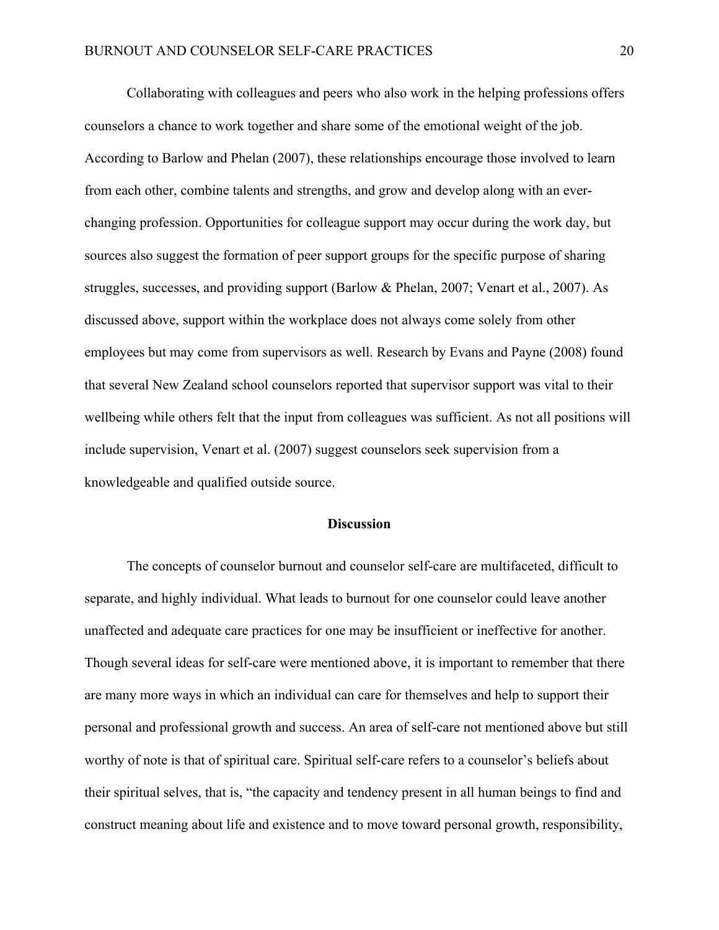Collaborating with colleagues and peers who also work in the helping professions offers counselors a chance to work together and share some of the emotional weight of the job. According to Barlow and Phelan (2007), these relationships encourage those involved to learn from each other, combine talents and strengths, and grow and develop along with an everchanging profession. Opportunities for colleague support may occur during the work day, but sources also suggest the formation of peer support groups for the specific purpose of sharing struggles, successes, and providing support (Barlow & Phelan, 2007; Venart et al., 2007). As discussed above, support within the workplace does not always come solely from other employees but may come from supervisors as well. Research by Evans and Payne (2008) found that several New Zealand school counselors reported that supervisor support was vital to their wellbeing while others felt that the input from colleagues was sufficient. As not all positions will include supervision, Venart et al. (2007) suggest counselors seek supervision from a knowledgeable and qualified outside source.

## **Discussion**

The concepts of counselor burnout and counselor self-care are multifaceted, difficult to separate, and highly individual. What leads to burnout for one counselor could leave another unaffected and adequate care practices for one may be insufficient or ineffective for another. Though several ideas for self-care were mentioned above, it is important to remember that there are many more ways in which an individual can care for themselves and help to support their personal and professional growth and success. An area of self-care not mentioned above but still worthy of note is that of spiritual care. Spiritual self-care refers to a counselor's beliefs about their spiritual selves, that is, "the capacity and tendency present in all human beings to find and construct meaning about life and existence and to move toward personal growth, responsibility,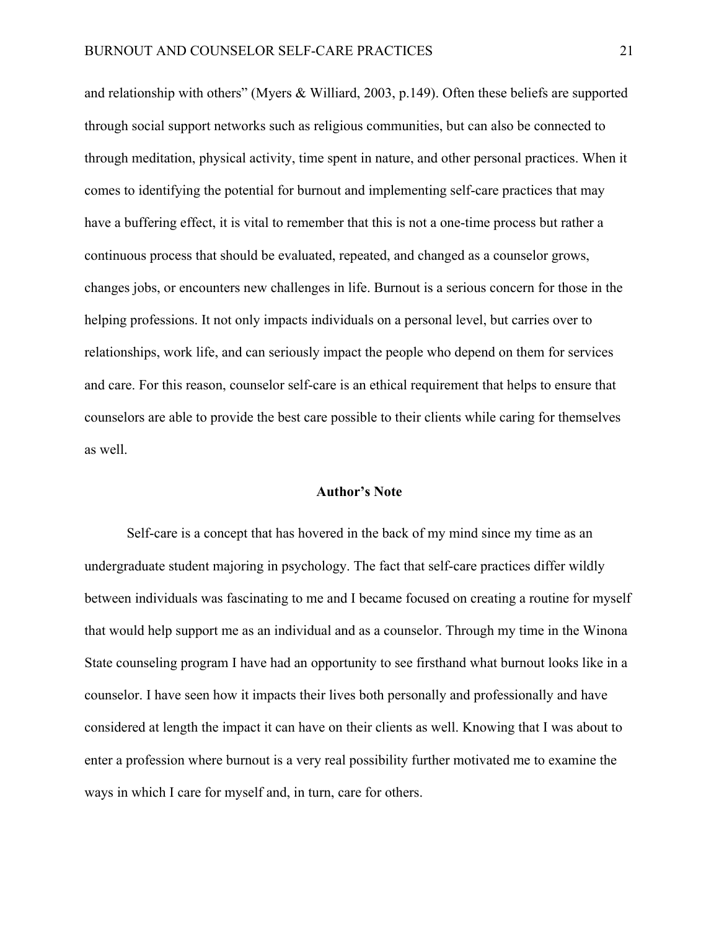and relationship with others" (Myers & Williard, 2003, p.149). Often these beliefs are supported through social support networks such as religious communities, but can also be connected to through meditation, physical activity, time spent in nature, and other personal practices. When it comes to identifying the potential for burnout and implementing self-care practices that may have a buffering effect, it is vital to remember that this is not a one-time process but rather a continuous process that should be evaluated, repeated, and changed as a counselor grows, changes jobs, or encounters new challenges in life. Burnout is a serious concern for those in the helping professions. It not only impacts individuals on a personal level, but carries over to relationships, work life, and can seriously impact the people who depend on them for services and care. For this reason, counselor self-care is an ethical requirement that helps to ensure that counselors are able to provide the best care possible to their clients while caring for themselves as well.

# **Author's Note**

Self-care is a concept that has hovered in the back of my mind since my time as an undergraduate student majoring in psychology. The fact that self-care practices differ wildly between individuals was fascinating to me and I became focused on creating a routine for myself that would help support me as an individual and as a counselor. Through my time in the Winona State counseling program I have had an opportunity to see firsthand what burnout looks like in a counselor. I have seen how it impacts their lives both personally and professionally and have considered at length the impact it can have on their clients as well. Knowing that I was about to enter a profession where burnout is a very real possibility further motivated me to examine the ways in which I care for myself and, in turn, care for others.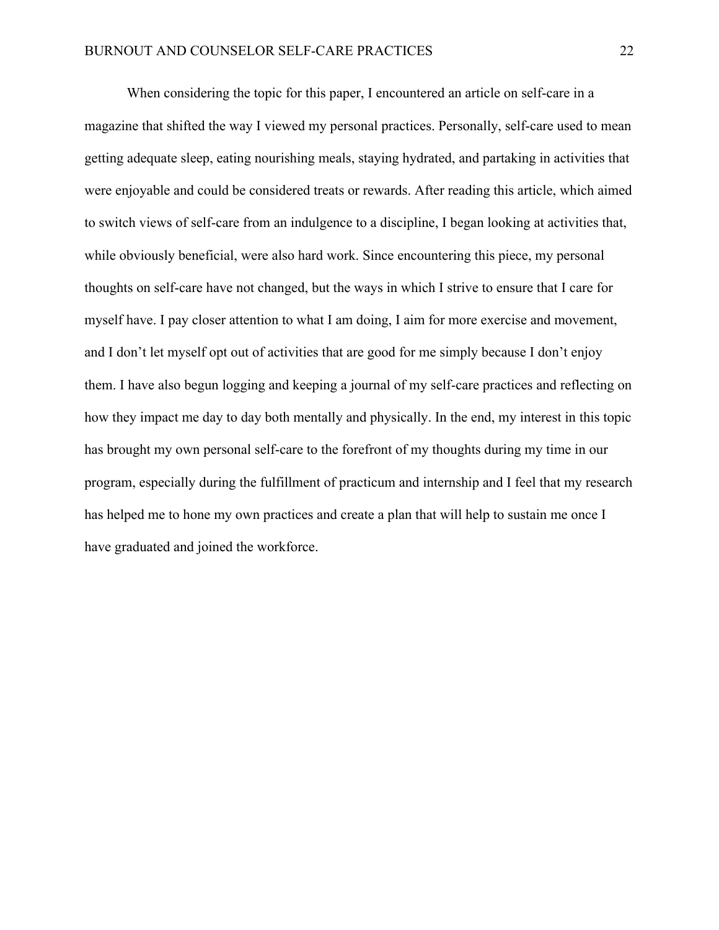When considering the topic for this paper, I encountered an article on self-care in a magazine that shifted the way I viewed my personal practices. Personally, self-care used to mean getting adequate sleep, eating nourishing meals, staying hydrated, and partaking in activities that were enjoyable and could be considered treats or rewards. After reading this article, which aimed to switch views of self-care from an indulgence to a discipline, I began looking at activities that, while obviously beneficial, were also hard work. Since encountering this piece, my personal thoughts on self-care have not changed, but the ways in which I strive to ensure that I care for myself have. I pay closer attention to what I am doing, I aim for more exercise and movement, and I don't let myself opt out of activities that are good for me simply because I don't enjoy them. I have also begun logging and keeping a journal of my self-care practices and reflecting on how they impact me day to day both mentally and physically. In the end, my interest in this topic has brought my own personal self-care to the forefront of my thoughts during my time in our program, especially during the fulfillment of practicum and internship and I feel that my research has helped me to hone my own practices and create a plan that will help to sustain me once I have graduated and joined the workforce.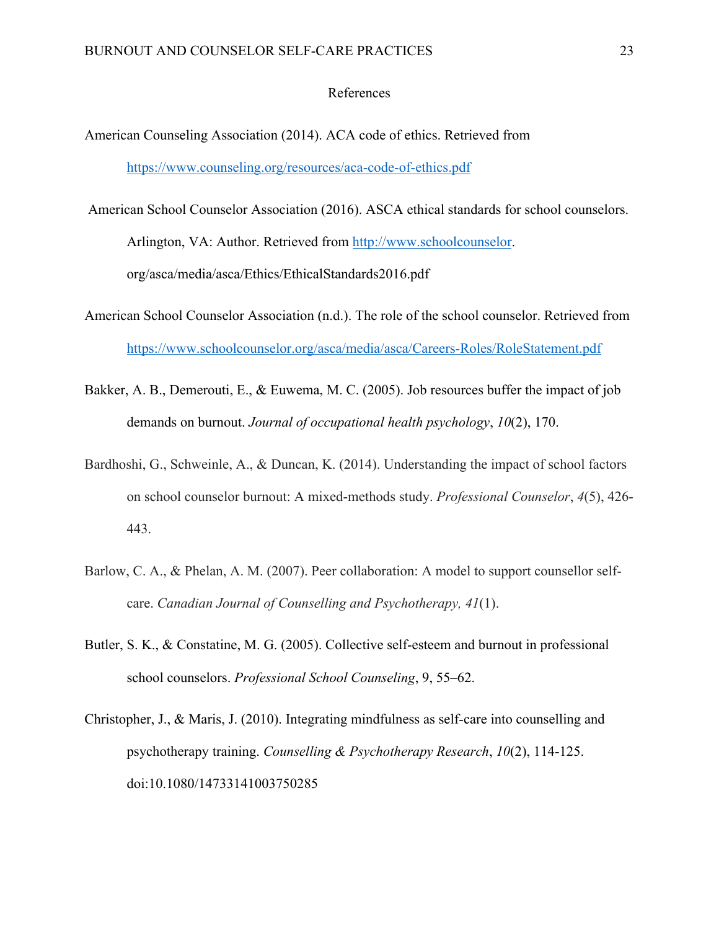## References

- American Counseling Association (2014). ACA code of ethics. Retrieved from https://www.counseling.org/resources/aca-code-of-ethics.pdf
- American School Counselor Association (2016). ASCA ethical standards for school counselors. Arlington, VA: Author. Retrieved from http://www.schoolcounselor. org/asca/media/asca/Ethics/EthicalStandards2016.pdf
- American School Counselor Association (n.d.). The role of the school counselor. Retrieved from https://www.schoolcounselor.org/asca/media/asca/Careers-Roles/RoleStatement.pdf
- Bakker, A. B., Demerouti, E., & Euwema, M. C. (2005). Job resources buffer the impact of job demands on burnout. *Journal of occupational health psychology*, *10*(2), 170.
- Bardhoshi, G., Schweinle, A., & Duncan, K. (2014). Understanding the impact of school factors on school counselor burnout: A mixed-methods study. *Professional Counselor*, *4*(5), 426- 443.
- Barlow, C. A., & Phelan, A. M. (2007). Peer collaboration: A model to support counsellor selfcare. *Canadian Journal of Counselling and Psychotherapy, 41*(1).
- Butler, S. K., & Constatine, M. G. (2005). Collective self-esteem and burnout in professional school counselors. *Professional School Counseling*, 9, 55–62.
- Christopher, J., & Maris, J. (2010). Integrating mindfulness as self-care into counselling and psychotherapy training. *Counselling & Psychotherapy Research*, *10*(2), 114-125. doi:10.1080/14733141003750285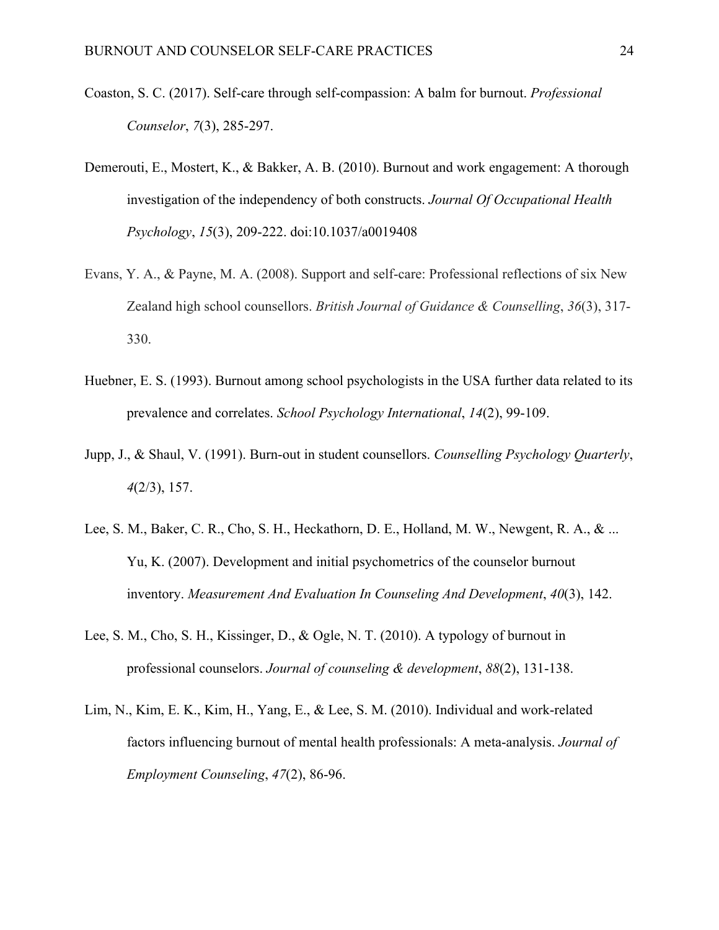- Coaston, S. C. (2017). Self-care through self-compassion: A balm for burnout. *Professional Counselor*, *7*(3), 285-297.
- Demerouti, E., Mostert, K., & Bakker, A. B. (2010). Burnout and work engagement: A thorough investigation of the independency of both constructs. *Journal Of Occupational Health Psychology*, *15*(3), 209-222. doi:10.1037/a0019408
- Evans, Y. A., & Payne, M. A. (2008). Support and self-care: Professional reflections of six New Zealand high school counsellors. *British Journal of Guidance & Counselling*, *36*(3), 317- 330.
- Huebner, E. S. (1993). Burnout among school psychologists in the USA further data related to its prevalence and correlates. *School Psychology International*, *14*(2), 99-109.
- Jupp, J., & Shaul, V. (1991). Burn-out in student counsellors. *Counselling Psychology Quarterly*, *4*(2/3), 157.
- Lee, S. M., Baker, C. R., Cho, S. H., Heckathorn, D. E., Holland, M. W., Newgent, R. A., & ... Yu, K. (2007). Development and initial psychometrics of the counselor burnout inventory. *Measurement And Evaluation In Counseling And Development*, *40*(3), 142.
- Lee, S. M., Cho, S. H., Kissinger, D., & Ogle, N. T. (2010). A typology of burnout in professional counselors. *Journal of counseling & development*, *88*(2), 131-138.
- Lim, N., Kim, E. K., Kim, H., Yang, E., & Lee, S. M. (2010). Individual and work‐related factors influencing burnout of mental health professionals: A meta-analysis. *Journal of Employment Counseling*, *47*(2), 86-96.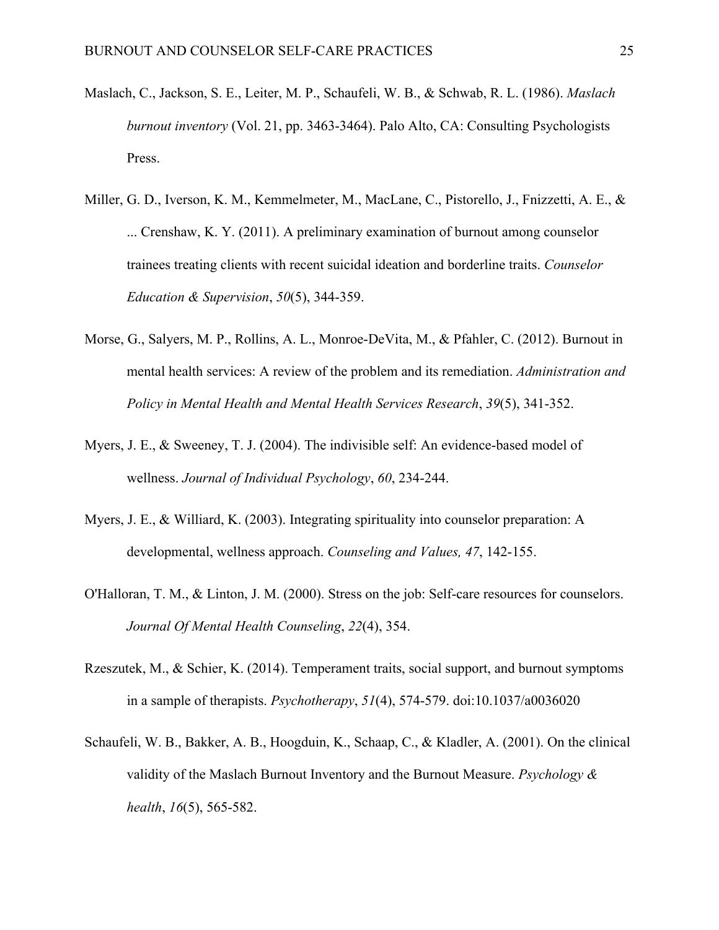- Maslach, C., Jackson, S. E., Leiter, M. P., Schaufeli, W. B., & Schwab, R. L. (1986). *Maslach burnout inventory* (Vol. 21, pp. 3463-3464). Palo Alto, CA: Consulting Psychologists Press.
- Miller, G. D., Iverson, K. M., Kemmelmeter, M., MacLane, C., Pistorello, J., Fnizzetti, A. E., & ... Crenshaw, K. Y. (2011). A preliminary examination of burnout among counselor trainees treating clients with recent suicidal ideation and borderline traits. *Counselor Education & Supervision*, *50*(5), 344-359.
- Morse, G., Salyers, M. P., Rollins, A. L., Monroe-DeVita, M., & Pfahler, C. (2012). Burnout in mental health services: A review of the problem and its remediation. *Administration and Policy in Mental Health and Mental Health Services Research*, *39*(5), 341-352.
- Myers, J. E., & Sweeney, T. J. (2004). The indivisible self: An evidence-based model of wellness. *Journal of Individual Psychology*, *60*, 234-244.
- Myers, J. E., & Williard, K. (2003). Integrating spirituality into counselor preparation: A developmental, wellness approach. *Counseling and Values, 47*, 142-155.
- O'Halloran, T. M., & Linton, J. M. (2000). Stress on the job: Self-care resources for counselors. *Journal Of Mental Health Counseling*, *22*(4), 354.
- Rzeszutek, M., & Schier, K. (2014). Temperament traits, social support, and burnout symptoms in a sample of therapists. *Psychotherapy*, *51*(4), 574-579. doi:10.1037/a0036020
- Schaufeli, W. B., Bakker, A. B., Hoogduin, K., Schaap, C., & Kladler, A. (2001). On the clinical validity of the Maslach Burnout Inventory and the Burnout Measure. *Psychology & health*, *16*(5), 565-582.